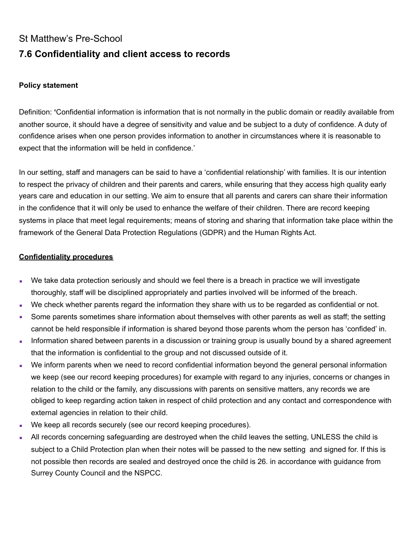# St Matthew's Pre-School **7.6 Confidentiality and client access to records**

#### **Policy statement**

Definition: **'**Confidential information is information that is not normally in the public domain or readily available from another source, it should have a degree of sensitivity and value and be subject to a duty of confidence. A duty of confidence arises when one person provides information to another in circumstances where it is reasonable to expect that the information will be held in confidence.'

In our setting, staff and managers can be said to have a 'confidential relationship' with families. It is our intention to respect the privacy of children and their parents and carers, while ensuring that they access high quality early years care and education in our setting. We aim to ensure that all parents and carers can share their information in the confidence that it will only be used to enhance the welfare of their children. There are record keeping systems in place that meet legal requirements; means of storing and sharing that information take place within the framework of the General Data Protection Regulations (GDPR) and the Human Rights Act.

#### **Confidentiality procedures**

- We take data protection seriously and should we feel there is a breach in practice we will investigate thoroughly, staff will be disciplined appropriately and parties involved will be informed of the breach.
- We check whether parents regard the information they share with us to be regarded as confidential or not.
- Some parents sometimes share information about themselves with other parents as well as staff; the setting cannot be held responsible if information is shared beyond those parents whom the person has 'confided' in.
- **•** Information shared between parents in a discussion or training group is usually bound by a shared agreement that the information is confidential to the group and not discussed outside of it.
- We inform parents when we need to record confidential information beyond the general personal information we keep (see our record keeping procedures) for example with regard to any injuries, concerns or changes in relation to the child or the family, any discussions with parents on sensitive matters, any records we are obliged to keep regarding action taken in respect of child protection and any contact and correspondence with external agencies in relation to their child.
- **We keep all records securely (see our record keeping procedures).**
- All records concerning safeguarding are destroyed when the child leaves the setting, UNLESS the child is subject to a Child Protection plan when their notes will be passed to the new setting and signed for. If this is not possible then records are sealed and destroyed once the child is 26. in accordance with guidance from Surrey County Council and the NSPCC.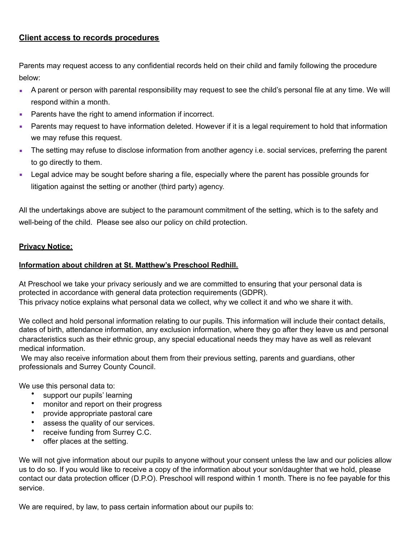### **Client access to records procedures**

Parents may request access to any confidential records held on their child and family following the procedure below:

- A parent or person with parental responsibility may request to see the child's personal file at any time. We will respond within a month.
- Parents have the right to amend information if incorrect.
- **•** Parents may request to have information deleted. However if it is a legal requirement to hold that information we may refuse this request.
- The setting may refuse to disclose information from another agency i.e. social services, preferring the parent to go directly to them.
- **EXECT ADDE FOR THE SOUGHT LEGTARY CORROLLY EXAGTLE FOR THE VIDEO FOR THE SOUTH** SONG FOR Legal advice may be sought before sharing a file, especially where the parent has possible grounds for litigation against the setting or another (third party) agency.

All the undertakings above are subject to the paramount commitment of the setting, which is to the safety and well-being of the child. Please see also our policy on child protection.

#### **Privacy Notice:**

## **Information about children at St. Matthew's Preschool Redhill.**

At Preschool we take your privacy seriously and we are committed to ensuring that your personal data is protected in accordance with general data protection requirements (GDPR). This privacy notice explains what personal data we collect, why we collect it and who we share it with.

We collect and hold personal information relating to our pupils. This information will include their contact details, dates of birth, attendance information, any exclusion information, where they go after they leave us and personal characteristics such as their ethnic group, any special educational needs they may have as well as relevant medical information.

We may also receive information about them from their previous setting, parents and quardians, other professionals and Surrey County Council.

We use this personal data to:

- support our pupils' learning
- monitor and report on their progress
- provide appropriate pastoral care
- assess the quality of our services.
- receive funding from Surrey C.C.
- offer places at the setting.

We will not give information about our pupils to anyone without your consent unless the law and our policies allow us to do so. If you would like to receive a copy of the information about your son/daughter that we hold, please contact our data protection officer (D.P.O). Preschool will respond within 1 month. There is no fee payable for this service.

We are required, by law, to pass certain information about our pupils to: